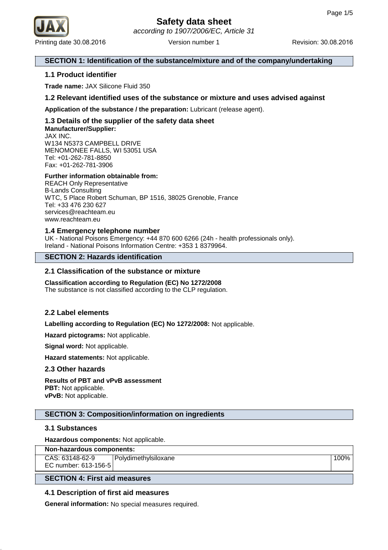

#### **SECTION 1: Identification of the substance/mixture and of the company/undertaking**

#### **1.1 Product identifier**

**Trade name:** JAX Silicone Fluid 350

#### **1.2 Relevant identified uses of the substance or mixture and uses advised against**

**Application of the substance / the preparation:** Lubricant (release agent).

#### **1.3 Details of the supplier of the safety data sheet Manufacturer/Supplier:** JAX INC.

W134 N5373 CAMPBELL DRIVE MENOMONEE FALLS, WI 53051 USA Tel: +01-262-781-8850 Fax: +01-262-781-3906

#### **Further information obtainable from:**

REACH Only Representative B-Lands Consulting WTC, 5 Place Robert Schuman, BP 1516, 38025 Grenoble, France Tel: +33 476 230 627 services@reachteam.eu www.reachteam.eu

#### **1.4 Emergency telephone number**

UK - National Poisons Emergency: +44 870 600 6266 (24h - health professionals only). Ireland - National Poisons Information Centre: +353 1 8379964.

#### **SECTION 2: Hazards identification**

#### **2.1 Classification of the substance or mixture**

**Classification according to Regulation (EC) No 1272/2008** The substance is not classified according to the CLP regulation.

#### **2.2 Label elements**

**Labelling according to Regulation (EC) No 1272/2008:** Not applicable.

**Hazard pictograms:** Not applicable.

**Signal word:** Not applicable.

**Hazard statements:** Not applicable.

#### **2.3 Other hazards**

## **Results of PBT and vPvB assessment PBT:** Not applicable.

**vPvB:** Not applicable.

#### **SECTION 3: Composition/information on ingredients**

#### **3.1 Substances**

**Hazardous components:** Not applicable.

| Non-hazardous components: |                        |      |  |  |
|---------------------------|------------------------|------|--|--|
| CAS: 63148-62-9           | l Polvdimethvlsiloxane | 100% |  |  |
| EC number: 613-156-5      |                        |      |  |  |

#### **SECTION 4: First aid measures**

#### **4.1 Description of first aid measures**

**General information:** No special measures required.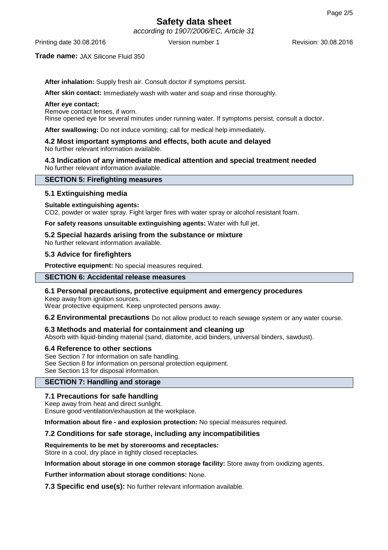# **Safety data sheet**

according to 1907/2006/EC, Article 31

Printing date 30.08.2016 **Version number 1** Revision: 30.08.2016 **Revision:** 30.08.2016

#### **Trade name:** JAX Silicone Fluid 350

**After inhalation:** Supply fresh air. Consult doctor if symptoms persist.

**After skin contact:** Immediately wash with water and soap and rinse thoroughly.

#### **After eye contact:**

Remove contact lenses, if worn.

Rinse opened eye for several minutes under running water. If symptoms persist, consult a doctor.

**After swallowing:** Do not induce vomiting; call for medical help immediately.

#### **4.2 Most important symptoms and effects, both acute and delayed** No further relevant information available.

**4.3 Indication of any immediate medical attention and special treatment needed** No further relevant information available.

#### **SECTION 5: Firefighting measures**

#### **5.1 Extinguishing media**

#### **Suitable extinguishing agents:**

CO2, powder or water spray. Fight larger fires with water spray or alcohol resistant foam.

**For safety reasons unsuitable extinguishing agents:** Water with full jet.

#### **5.2 Special hazards arising from the substance or mixture**

No further relevant information available.

#### **5.3 Advice for firefighters**

**Protective equipment:** No special measures required.

### **SECTION 6: Accidental release measures**

#### **6.1 Personal precautions, protective equipment and emergency procedures**

Keep away from ignition sources. Wear protective equipment. Keep unprotected persons away.

**6.2 Environmental precautions** Do not allow product to reach sewage system or any water course.

#### **6.3 Methods and material for containment and cleaning up**

Absorb with liquid-binding material (sand, diatomite, acid binders, universal binders, sawdust).

#### **6.4 Reference to other sections**

See Section 7 for information on safe handling. See Section 8 for information on personal protection equipment. See Section 13 for disposal information.

#### **SECTION 7: Handling and storage**

#### **7.1 Precautions for safe handling**

Keep away from heat and direct sunlight.

Ensure good ventilation/exhaustion at the workplace.

**Information about fire - and explosion protection:** No special measures required.

#### **7.2 Conditions for safe storage, including any incompatibilities**

**Requirements to be met by storerooms and receptacles:**

Store in a cool, dry place in tightly closed receptacles.

**Information about storage in one common storage facility:** Store away from oxidizing agents.

**Further information about storage conditions:** None.

**7.3 Specific end use(s):** No further relevant information available.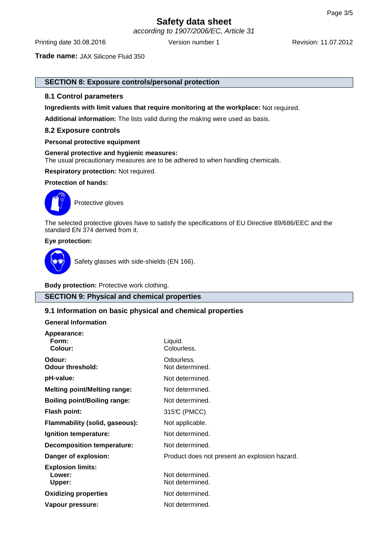# **Safety data sheet**

according to 1907/2006/EC, Article 31

Printing date 30.08.2016 **Version number 1** Revision: 11.07.2012

**Trade name:** JAX Silicone Fluid 350

#### **SECTION 8: Exposure controls/personal protection**

#### **8.1 Control parameters**

**Ingredients with limit values that require monitoring at the workplace:** Not required.

**Additional information:** The lists valid during the making were used as basis.

#### **8.2 Exposure controls**

#### **Personal protective equipment**

**General protective and hygienic measures:** The usual precautionary measures are to be adhered to when handling chemicals.

**Respiratory protection:** Not required.

#### **Protection of hands:**



Protective gloves

The selected protective gloves have to satisfy the specifications of EU Directive 89/686/EEC and the standard EN 374 derived from it.

#### **Eye protection:**



Safety glasses with side-shields (EN 166).

**Body protection:** Protective work clothing.

#### **SECTION 9: Physical and chemical properties**

#### **9.1 Information on basic physical and chemical properties**

#### **General Information**

**Appearance:**

| Appearance:                         |                                               |
|-------------------------------------|-----------------------------------------------|
| Form:                               | Liquid.                                       |
| Colour:                             | Colourless.                                   |
|                                     |                                               |
| Odour:                              | Odourless.                                    |
| <b>Odour threshold:</b>             | Not determined.                               |
| pH-value:                           | Not determined.                               |
|                                     |                                               |
| <b>Melting point/Melting range:</b> | Not determined.                               |
| <b>Boiling point/Boiling range:</b> | Not determined.                               |
| <b>Flash point:</b>                 | 315°C (PMCC)                                  |
| Flammability (solid, gaseous):      | Not applicable.                               |
| Ignition temperature:               | Not determined.                               |
| <b>Decomposition temperature:</b>   | Not determined.                               |
| Danger of explosion:                | Product does not present an explosion hazard. |
| <b>Explosion limits:</b>            |                                               |
| Lower:                              | Not determined.                               |
| Upper:                              | Not determined.                               |
|                                     |                                               |
| <b>Oxidizing properties</b>         | Not determined.                               |
| Vapour pressure:                    | Not determined.                               |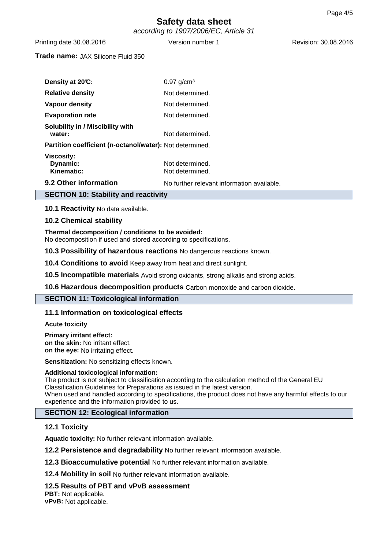## **Safety data sheet** according to 1907/2006/EC, Article 31

Printing date 30.08.2016 **Version number 1** Revision: 30.08.2016 **Revision:** 30.08.2016

#### **Trade name:** JAX Silicone Fluid 350

| Density at 20°C:                                         | $0.97$ g/cm <sup>3</sup>                   |  |
|----------------------------------------------------------|--------------------------------------------|--|
| <b>Relative density</b>                                  | Not determined.                            |  |
| Vapour density                                           | Not determined.                            |  |
| <b>Evaporation rate</b>                                  | Not determined.                            |  |
| <b>Solubility in / Miscibility with</b><br>water:        | Not determined.                            |  |
| Partition coefficient (n-octanol/water): Not determined. |                                            |  |
| <b>Viscosity:</b><br>Dynamic:<br>Kinematic:              | Not determined.<br>Not determined.         |  |
| 9.2 Other information                                    | No further relevant information available. |  |

#### **SECTION 10: Stability and reactivity**

**10.1 Reactivity** No data available.

#### **10.2 Chemical stability**

#### **Thermal decomposition / conditions to be avoided:**

No decomposition if used and stored according to specifications.

**10.3 Possibility of hazardous reactions** No dangerous reactions known.

**10.4 Conditions to avoid** Keep away from heat and direct sunlight.

**10.5 Incompatible materials** Avoid strong oxidants, strong alkalis and strong acids.

**10.6 Hazardous decomposition products** Carbon monoxide and carbon dioxide.

#### **SECTION 11: Toxicological information**

#### **11.1 Information on toxicological effects**

**Acute toxicity**

**Primary irritant effect: on the skin:** No irritant effect. **on the eye:** No irritating effect.

**Sensitization:** No sensitizing effects known.

#### **Additional toxicological information:**

The product is not subject to classification according to the calculation method of the General EU Classification Guidelines for Preparations as issued in the latest version. When used and handled according to specifications, the product does not have any harmful effects to our experience and the information provided to us.

#### **SECTION 12: Ecological information**

#### **12.1 Toxicity**

**Aquatic toxicity:** No further relevant information available.

**12.2 Persistence and degradability** No further relevant information available.

**12.3 Bioaccumulative potential** No further relevant information available.

**12.4 Mobility in soil** No further relevant information available.

#### **12.5 Results of PBT and vPvB assessment**

**PBT:** Not applicable. **vPvB:** Not applicable.